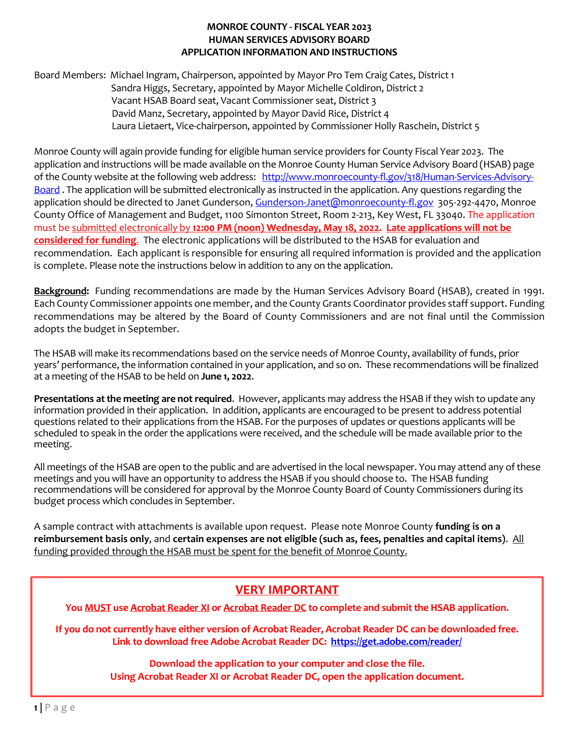Board Members: Michael Ingram, Chairperson, appointed by Mayor Pro Tem Craig Cates, District 1 Sandra Higgs, Secretary, appointed by Mayor Michelle Coldiron, District 2 Vacant HSAB Board seat, Vacant Commissioner seat, District 3 David Manz, Secretary, appointed by Mayor David Rice, District 4 Laura Lietaert, Vice-chairperson, appointed by Commissioner Holly Raschein, District 5

Monroe County will again provide funding for eligible human service providers for County Fiscal Year 2023. The application and instructions will be made available on the Monroe County Human Service Advisory Board (HSAB) page of the County website at the following web address: [http://www.monroecounty-fl.gov/318/Human-Services-Advisory-](http://www.monroecounty-fl.gov/318/Human-Services-Advisory-Board)[Board](http://www.monroecounty-fl.gov/318/Human-Services-Advisory-Board) . The application will be submitted electronically as instructed in the application. Any questions regarding the application should be directed to Janet Gunderson, [Gunderson-Janet@monroecounty-fl.gov](mailto:Gunderson-Janet@monroecounty-fl.gov) 305-292-4470, Monroe County Office of Management and Budget, 1100 Simonton Street, Room 2-213, Key West, FL 33040. The application must be submitted electronically by **12:00 PM (noon) Wednesday, May 18, 2022. Late applications will not be considered for funding**. The electronic applications will be distributed to the HSAB for evaluation and recommendation. Each applicant is responsible for ensuring all required information is provided and the application is complete. Please note the instructions below in addition to any on the application.

**Background:** Funding recommendations are made by the Human Services Advisory Board (HSAB), created in 1991. Each County Commissioner appoints one member, and the County Grants Coordinator provides staff support. Funding recommendations may be altered by the Board of County Commissioners and are not final until the Commission adopts the budget in September.

The HSAB will make its recommendations based on the service needs of Monroe County, availability of funds, prior years' performance, the information contained in your application, and so on. These recommendations will be finalized at a meeting of the HSAB to be held on **June 1, 2022**.

**Presentations at the meeting are not required**. However, applicants may address the HSAB if they wish to update any information provided in their application. In addition, applicants are encouraged to be present to address potential questions related to their applications from the HSAB. For the purposes of updates or questions applicants will be scheduled to speak in the order the applications were received, and the schedule will be made available prior to the meeting.

All meetings of the HSAB are open to the public and are advertised in the local newspaper. You may attend any of these meetings and you will have an opportunity to address the HSAB if you should choose to. The HSAB funding recommendations will be considered for approval by the Monroe County Board of County Commissioners during its budget process which concludes in September.

A sample contract with attachments is available upon request. Please note Monroe County **funding is on a reimbursement basis only**, and **certain expenses are not eligible (such as, fees, penalties and capital items)**. All funding provided through the HSAB must be spent for the benefit of Monroe County.

# **VERY IMPORTANT**

**You MUST use Acrobat Reader XI or Acrobat Reader DC to complete and submit the HSAB application.**

**If you do not currently have either version of Acrobat Reader, Acrobat Reader DC can be downloaded free. Link to download free Adobe Acrobat Reader DC: <https://get.adobe.com/reader/>**

**Using Acrobat Reader XI or Acrobat Reader DC, open the application document. Download the application to your computer and close the file.**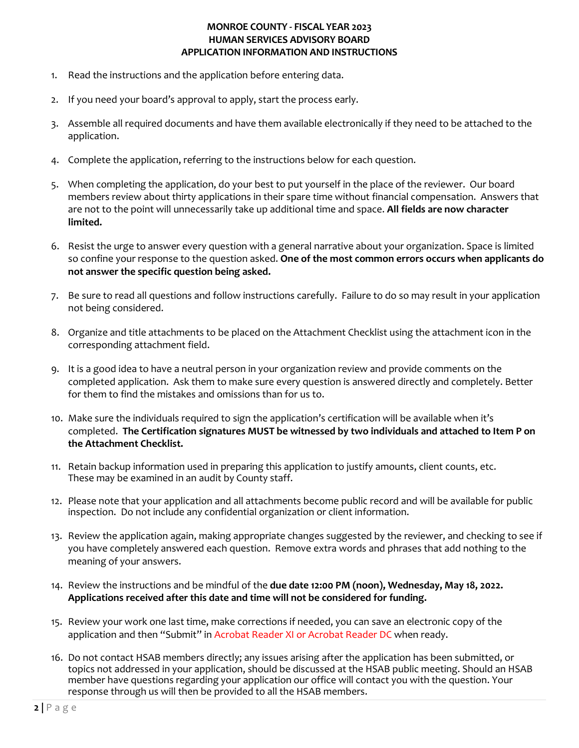- 1. Read the instructions and the application before entering data.
- 2. If you need your board's approval to apply, start the process early.
- 3. Assemble all required documents and have them available electronically if they need to be attached to the application.
- 4. Complete the application, referring to the instructions below for each question.
- 5. When completing the application, do your best to put yourself in the place of the reviewer. Our board members review about thirty applications in their spare time without financial compensation. Answers that are not to the point will unnecessarily take up additional time and space. **All fields are now character limited.**
- 6. Resist the urge to answer every question with a general narrative about your organization. Space is limited so confine your response to the question asked. **One of the most common errors occurs when applicants do not answer the specific question being asked.**
- 7. Be sure to read all questions and follow instructions carefully. Failure to do so may result in your application not being considered.
- 8. Organize and title attachments to be placed on the Attachment Checklist using the attachment icon in the corresponding attachment field.
- 9. It is a good idea to have a neutral person in your organization review and provide comments on the completed application. Ask them to make sure every question is answered directly and completely. Better for them to find the mistakes and omissions than for us to.
- 10. Make sure the individuals required to sign the application's certification will be available when it's completed. **The Certification signatures MUST be witnessed by two individuals and attached to Item P on the Attachment Checklist.**
- 11. Retain backup information used in preparing this application to justify amounts, client counts, etc. These may be examined in an audit by County staff.
- 12. Please note that your application and all attachments become public record and will be available for public inspection. Do not include any confidential organization or client information.
- 13. Review the application again, making appropriate changes suggested by the reviewer, and checking to see if you have completely answered each question. Remove extra words and phrases that add nothing to the meaning of your answers.
- 14. Review the instructions and be mindful of the **due date 12:00 PM (noon), Wednesday, May 18, 2022. Applications received after this date and time will not be considered for funding.**
- 15. Review your work one last time, make corrections if needed, you can save an electronic copy of the application and then "Submit" in Acrobat Reader XI or Acrobat Reader DC when ready.
- 16. Do not contact HSAB members directly; any issues arising after the application has been submitted, or topics not addressed in your application, should be discussed at the HSAB public meeting. Should an HSAB member have questions regarding your application our office will contact you with the question. Your response through us will then be provided to all the HSAB members.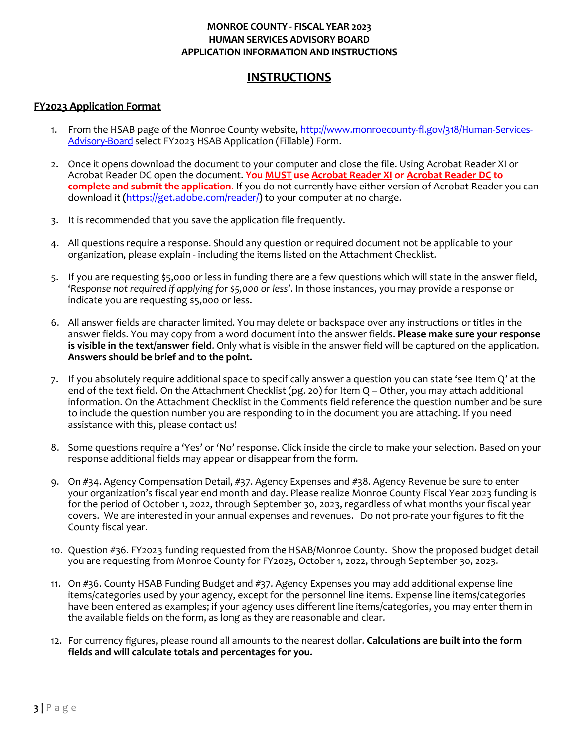# **INSTRUCTIONS**

## **FY2023 Application Format**

- 1. From the HSAB page of the Monroe County website, [http://www.monroecounty-fl.gov/318/Human-Services-](http://www.monroecounty-fl.gov/318/Human-Services-Advisory-Board)[Advisory-Board](http://www.monroecounty-fl.gov/318/Human-Services-Advisory-Board) select FY2023 HSAB Application (Fillable) Form.
- 2. Once it opens download the document to your computer and close the file. Using Acrobat Reader XI or Acrobat Reader DC open the document. **You MUST use Acrobat Reader XI or Acrobat Reader DC to complete and submit the application**. If you do not currently have either version of Acrobat Reader you can download it **(**<https://get.adobe.com/reader/>**)** to your computer at no charge.
- 3. It is recommended that you save the application file frequently.
- 4. All questions require a response. Should any question or required document not be applicable to your organization, please explain - including the items listed on the Attachment Checklist.
- 5. If you are requesting \$5,000 or less in funding there are a few questions which will state in the answer field, '*Response not required if applying for \$5,000 or less*'. In those instances, you may provide a response or indicate you are requesting \$5,000 or less.
- 6. All answer fields are character limited. You may delete or backspace over any instructions or titles in the answer fields. You may copy from a word document into the answer fields. **Please make sure your response is visible in the text/answer field**. Only what is visible in the answer field will be captured on the application. **Answers should be brief and to the point.**
- 7. If you absolutely require additional space to specifically answer a question you can state 'see Item Q' at the end of the text field. On the Attachment Checklist (pg. 20) for Item Q – Other, you may attach additional information. On the Attachment Checklist in the Comments field reference the question number and be sure to include the question number you are responding to in the document you are attaching. If you need assistance with this, please contact us!
- 8. Some questions require a 'Yes' or 'No' response. Click inside the circle to make your selection. Based on your response additional fields may appear or disappear from the form.
- 9. On #34. Agency Compensation Detail, #37. Agency Expenses and #38. Agency Revenue be sure to enter your organization's fiscal year end month and day. Please realize Monroe County Fiscal Year 2023 funding is for the period of October 1, 2022, through September 30, 2023, regardless of what months your fiscal year covers. We are interested in your annual expenses and revenues. Do not pro-rate your figures to fit the County fiscal year.
- 10. Question #36. FY2023 funding requested from the HSAB/Monroe County. Show the proposed budget detail you are requesting from Monroe County for FY2023, October 1, 2022, through September 30, 2023.
- 11. On #36. County HSAB Funding Budget and #37. Agency Expenses you may add additional expense line items/categories used by your agency, except for the personnel line items. Expense line items/categories have been entered as examples; if your agency uses different line items/categories, you may enter them in the available fields on the form, as long as they are reasonable and clear.
- 12. For currency figures, please round all amounts to the nearest dollar. **Calculations are built into the form fields and will calculate totals and percentages for you.**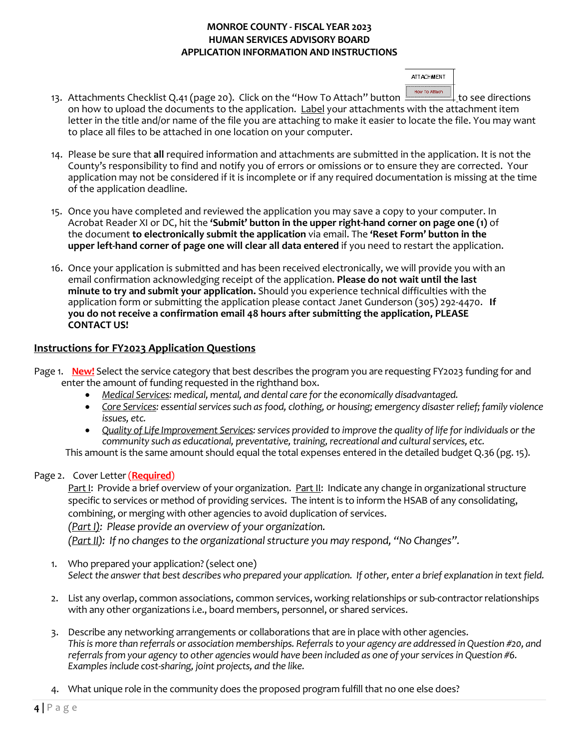**ATT ACHMENT** How To Attach

- 13. Attachments Checklist Q.41 (page 20). Click on the "How To Attach" button **the set of the set directions** on how to upload the documents to the application. Label your attachments with the attachment item letter in the title and/or name of the file you are attaching to make it easier to locate the file. You may want to place all files to be attached in one location on your computer.
- 14. Please be sure that **all** required information and attachments are submitted in the application. It is not the County's responsibility to find and notify you of errors or omissions or to ensure they are corrected. Your application may not be considered if it is incomplete or if any required documentation is missing at the time of the application deadline.
- 15. Once you have completed and reviewed the application you may save a copy to your computer. In Acrobat Reader XI or DC, hit the **'Submit' button in the upper right-hand corner on page one (1)** of the document **to electronically submit the application** via email. The **'Reset Form' button in the upper left-hand corner of page one will clear all data entered** if you need to restart the application.
- 16. Once your application is submitted and has been received electronically, we will provide you with an email confirmation acknowledging receipt of the application. **Please do not wait until the last minute to try and submit your application.** Should you experience technical difficulties with the application form or submitting the application please contact Janet Gunderson (305) 292-4470. **If you do not receive a confirmation email 48 hours after submitting the application, PLEASE CONTACT US!**

# **Instructions for FY2023 Application Questions**

- Page 1. **New!** Select the service category that best describes the program you are requesting FY2023 funding for and enter the amount of funding requested in the righthand box.
	- *Medical Services: medical, mental, and dental care for the economically disadvantaged.*
	- *Core Services: essential services such as food, clothing, or housing; emergency disaster relief; family violence issues, etc.*
	- *Quality of Life Improvement Services: services provided to improve the quality of life for individuals or the community such as educational, preventative, training, recreational and cultural services, etc.*

This amount is the same amount should equal the total expenses entered in the detailed budget Q.36 (pg. 15).

# Page 2. Cover Letter (**Required**)

Part I: Provide a brief overview of your organization. Part II: Indicate any change in organizational structure specific to services or method of providing services. The intent is to inform the HSAB of any consolidating, combining, or merging with other agencies to avoid duplication of services.

*(Part I): Please provide an overview of your organization.* 

*(Part II): If no changes to the organizational structure you may respond, "No Changes".* 

- 1. Who prepared your application? (select one) Select the answer that best describes who prepared your application. If other, enter a brief explanation in text field.
- 2. List any overlap, common associations, common services, working relationships or sub-contractor relationships with any other organizations i.e., board members, personnel, or shared services.
- 3. Describe any networking arrangements or collaborations that are in place with other agencies. *This is more than referrals or association memberships. Referrals to your agency are addressed in Question #20, and referrals from your agency to other agencies would have been included as one of your services in Question #6. Examples include cost-sharing, joint projects, and the like.*
- 4. What unique role in the community does the proposed program fulfill that no one else does?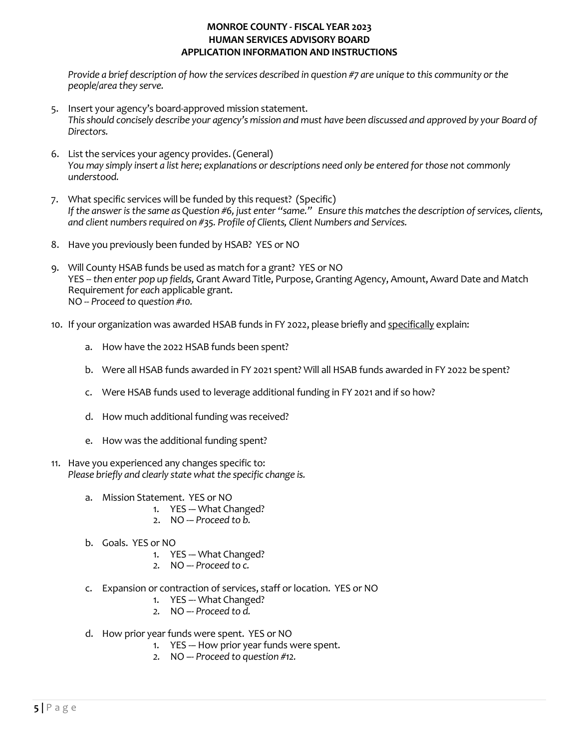*Provide a brief description of how the services described in question #7 are unique to this community or the people/area they serve.* 

- 5. Insert your agency's board-approved mission statement. *This should concisely describe your agency's mission and must have been discussed and approved by your Board of Directors.*
- 6. List the services your agency provides.(General) *You may simply insert a list here; explanations or descriptions need only be entered for those not commonly understood.*
- 7. What specific services will be funded by this request? (Specific) *If the answer is the same as Question #6, just enter "same." Ensure this matches the description of services, clients, and client numbers required on #35. Profile of Clients, Client Numbers and Services.*
- 8. Have you previously been funded by HSAB? YES or NO
- 9. Will County HSAB funds be used as match for a grant? YES or NO YES --*then enter pop up fields,* Grant Award Title, Purpose, Granting Agency, Amount, Award Date and Match Requirement *for each* applicable grant. NO -- *Proceed to* q*uestion #10.*
- 10. If your organization was awarded HSAB funds in FY 2022, please briefly and specifically explain:
	- a. How have the 2022 HSAB funds been spent?
	- b. Were all HSAB funds awarded in FY 2021 spent? Will all HSAB funds awarded in FY 2022 be spent?
	- c. Were HSAB funds used to leverage additional funding in FY 2021 and if so how?
	- d. How much additional funding was received?
	- e. How was the additional funding spent?
- 11. Have you experienced any changes specific to: *Please briefly and clearly state what the specific change is.*
	- a. Mission Statement. YES or NO
		- 1. YES -- What Changed?
		- 2. NO -– *Proceed to b.*
	- b. Goals. YES or NO
		- 1. YES -- What Changed?
		- *2.* NO –- *Proceed to c.*
	- c. Expansion or contraction of services, staff or location. YES or NO
		- 1. YES –- What Changed?
		- *2.* NO –- *Proceed to d.*
	- d. How prior year funds were spent. YES or NO
		- 1. YES -– How prior year funds were spent.
		- *2.* NO –- *Proceed to question #12.*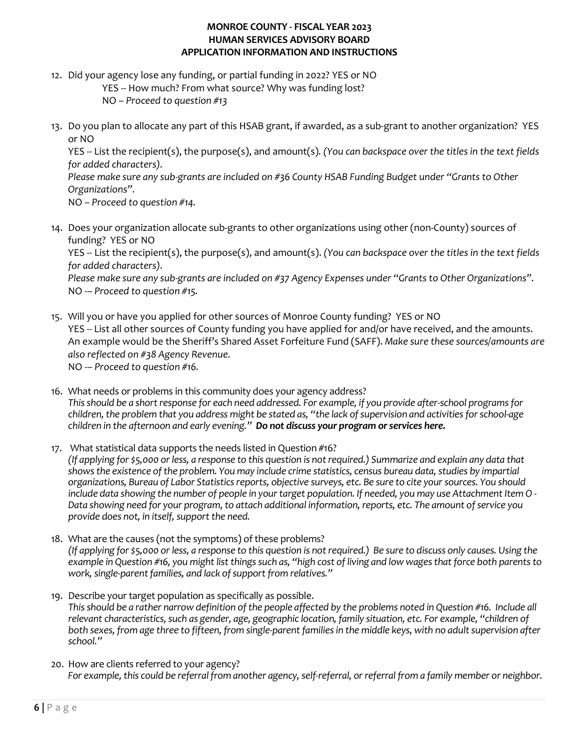- 12. Did your agency lose any funding, or partial funding in 2022? YES or NO YES -- How much? From what source? Why was funding lost?
	- NO *Proceed to question #13*
- 13. Do you plan to allocate any part of this HSAB grant, if awarded, as a sub-grant to another organization? YES or NO

YES *--* List the recipient(s), the purpose(s), and amount(s)*. (You can backspace over the titles in the text fields for added characters).* 

*Please make sure any sub-grants are included on #36 County HSAB Funding Budget under "Grants to Other Organizations".*

NO *– Proceed to question #14.*

14. Does your organization allocate sub-grants to other organizations using other (non-County) sources of funding? YES or NO

YES -- List the recipient(s), the purpose(s), and amount(s). *(You can backspace over the titles in the text fields for added characters).*

*Please make sure any sub-grants are included on #37 Agency Expenses under "Grants to Other Organizations".* NO *-– Proceed to question #15.*

- 15. Will you or have you applied for other sources of Monroe County funding? YES or NO YES *--* List all other sources of County funding you have applied for and/or have received, and the amounts. An example would be the Sheriff's Shared Asset Forfeiture Fund (SAFF). *Make sure these sources/amounts are also reflected on #38 Agency Revenue.* NO -– *Proceed to question #16.*
- 16. What needs or problems in this community does your agency address? *This should be a short response for each need addressed. For example, if you provide after-school programs for children, the problem that you address might be stated as, "the lack of supervision and activities for school-age children in the afternoon and early evening." Do not discuss your program or services here.*
- 17. What statistical data supports the needs listed in Question #16? *(If applying for \$5,000 or less, a response to this question is not required.) Summarize and explain any data that showsthe existence of the problem. You may include crime statistics, census bureau data, studies by impartial organizations, Bureau of Labor Statistics reports, objective surveys, etc. Be sure to cite your sources. You should include data showing the number of people in your target population. If needed, you may use Attachment Item O - Data showing need for your program, to attach additional information, reports, etc. The amount of service you provide does not, in itself, support the need.*
- 18. What are the causes (not the symptoms) of these problems? *(If applying for \$5,000 or less, a response to this question is not required.) Be sure to discuss only causes. Using the example in Question #16, you might list things such as, "high cost of living and low wages that force both parents to* work, single-parent families, and lack of support from relatives."
- 19. Describe your target population as specifically as possible. *This should be a rather narrow definition of the people affected by the problems noted in Question #16. Include all relevant characteristics, such as gender, age, geographic location, family situation, etc. For example, "children of both sexes, from age three to fifteen, from single-parent families in the middle keys, with no adult supervision after school."*
- 20. How are clients referred to your agency? *For example, this could be referral from another agency, self-referral, or referral from a family member or neighbor.*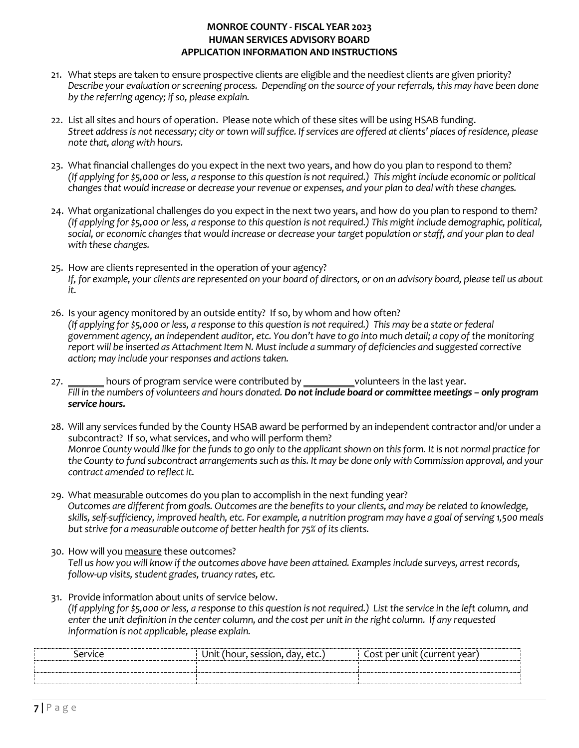- 21. What steps are taken to ensure prospective clients are eligible and the neediest clients are given priority? *Describe your evaluation or screening process. Depending on the source of your referrals, this may have been done by the referring agency; if so, please explain.*
- 22. List all sites and hours of operation. Please note which of these sites will be using HSAB funding. *Street address is not necessary; city or town will suffice. If services are offered at clients' places of residence, please note that, along with hours.*
- 23. What financial challenges do you expect in the next two years, and how do you plan to respond to them? *(If applying for \$5,000 or less, a response to this question is not required.) This might include economic or political changes that would increase or decrease your revenue or expenses, and your plan to deal with these changes.*
- 24. What organizational challenges do you expect in the next two years, and how do you plan to respond to them? *(If applying for \$5,000 or less, a response to this question is not required.) This might include demographic, political, social, or economic changes that would increase or decrease your target population or staff, and your plan to deal with these changes.*
- 25. How are clients represented in the operation of your agency? *If, for example, your clients are represented on your board of directors, or on an advisory board, please tell us about it.*
- 26. Is your agency monitored by an outside entity? If so, by whom and how often? *(If applying for \$5,000 or less, a response to this question is not required.) This may be a state or federal government agency, an independent auditor, etc. You don't have to go into much detail; a copy of the monitoring*  report will be inserted as Attachment Item N. Must include a summary of deficiencies and suggested corrective *action; may include your responses and actions taken.*
- 27. \_\_\_\_\_\_\_ hours of program service were contributed by \_\_\_\_\_\_\_\_\_\_volunteers in the last year. *Fill in the numbers of volunteers and hours donated. Do not include board or committee meetings – only program service hours.*
- 28. Will any services funded by the County HSAB award be performed by an independent contractor and/or under a subcontract? If so, what services, and who will perform them? *Monroe County would like for the funds to go only to the applicant shown on this form. It is not normal practice for the County to fund subcontract arrangements such as this. It may be done only with Commission approval, and your contract amended to reflect it.*
- 29. What measurable outcomes do you plan to accomplish in the next funding year? *Outcomes are different from goals. Outcomes are the benefits to your clients, and may be related to knowledge, skills, self-sufficiency, improved health, etc. For example, a nutrition program may have a goal of serving 1,500 meals*  but strive for a measurable outcome of better health for 75% of its clients.
- 30. How will you measure these outcomes? *Tell us how you will know if the outcomes above have been attained. Examples include surveys, arrest records, follow-up visits, student grades, truancy rates, etc.*
- 31. Provide information about units of service below. *(If applying for \$5,000 or less, a response to this question is not required.) Listthe service in the left column, and enter the unit definition in the center column, and the cost per unit in the right column. If any requested information is not applicable, please explain.*

| <b>**************************</b><br>ervic | ∩÷ | vear |
|--------------------------------------------|----|------|
|                                            |    |      |
|                                            |    |      |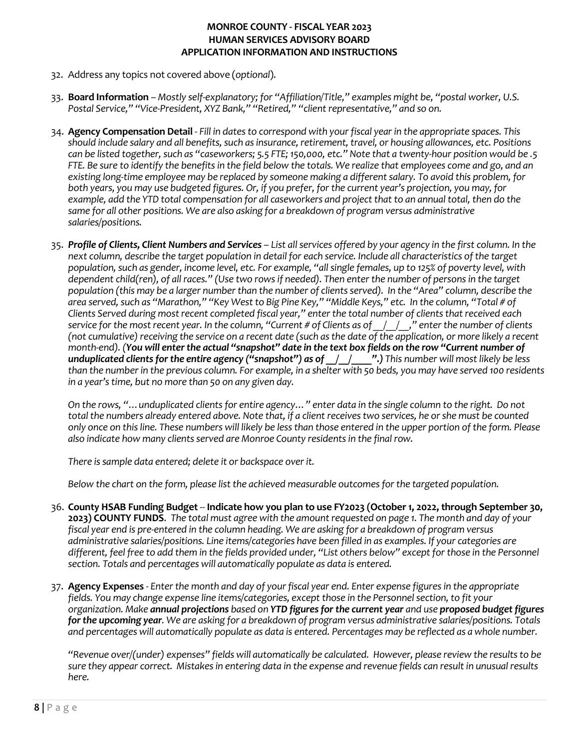- 32. Address any topics not covered above (*optional*).
- 33. **Board Information**  *Mostly self-explanatory; for "Affiliation/Title," examples might be, "postal worker, U.S. Postal Service," "Vice-President, XYZ Bank," "Retired," "client representative," and so on.*
- 34. **Agency Compensation Detail**  *Fill in dates to correspond with your fiscal year in the appropriate spaces. This should include salary and all benefits, such as insurance, retirement, travel, or housing allowances, etc. Positions can be listed together, such as "caseworkers; 5.5 FTE; 150,000, etc." Note that a twenty-hour position would be .5 FTE. Be sure to identify the benefits in the field below the totals. We realize that employees come and go, and an existing long-time employee may be replaced by someone making a different salary. To avoid this problem, for both years, you may use budgeted figures. Or, if you prefer, for the current year's projection, you may, for example, add the YTD total compensation for all caseworkers and project that to an annual total, then do the same for all other positions. We are also asking for a breakdown of program versus administrative salaries/positions.*
- 35. *Profile of Clients, Client Numbers and Services List all services offered by your agency in the first column. In the next column, describe the target population in detail for each service. Include all characteristics of the target population, such as gender, income level, etc. For example, "all single females, up to 125% of poverty level, with dependent child(ren), of all races." (Use two rows if needed). Then enter the number of persons in the target population (this may be a larger number than the number of clients served). In the "Area" column, describe the area served, such as "Marathon," "Key West to Big Pine Key," "Middle Keys," etc. In the column, "Total # of Clients Served during most recent completed fiscal year," enter the total number of clients that received each service for the most recent year. In the column, "Current # of Clients as of \_\_/\_\_/\_\_," enter the number of clients (not cumulative) receiving the service on a recent date (such as the date of the application, or more likely a recent month-end). (You will enter the actual "snapshot" date in the text box fields on the row "Current number of unduplicated clients for the entire agency ("snapshot") as of \_\_/\_\_/\_\_\_\_".) This number will most likely be less than the number in the previous column. For example, in a shelter with 50 beds, you may have served 100 residents in a year's time, but no more than 50 on any given day.*

*On the rows, "…unduplicated clients for entire agency…" enter data in the single column to the right. Do not total the numbers already entered above. Note that, if a client receives two services, he or she must be counted only once on this line. These numbers will likely be less than those entered in the upper portion of the form. Please also indicate how many clients served are Monroe County residents in the final row.*

*There is sample data entered; delete it or backspace over it.*

*Below the chart on the form, please list the achieved measurable outcomes for the targeted population.* 

- 36. **County HSAB Funding Budget** *--* **Indicate how you plan to use FY2023 (October 1, 2022, through September 30, 2023) COUNTY FUNDS**. *The total must agree with the amount requested on page 1. The month and day of your fiscal year end is pre-entered in the column heading. We are asking for a breakdown of program versus administrative salaries/positions. Line items/categories have been filled in as examples. If your categories are different, feel free to add them in the fields provided under, "List others below" except for those in the Personnel section. Totals and percentages will automatically populate as data is entered.*
- 37. **Agency Expenses** *- Enter the month and day of your fiscal year end. Enter expense figures in the appropriate fields. You may change expense line items/categories, except those in the Personnel section, to fit your organization. Make annual projections based on YTD figures for the current year and use proposed budget figures for the upcoming year. We are asking for a breakdown of program versus administrative salaries/positions. Totals and percentages will automatically populate as data is entered. Percentages may be reflected as a whole number.*

*"Revenue over/(under) expenses" fields will automatically be calculated. However, please review the results to be sure they appear correct. Mistakes in entering data in the expense and revenue fields can result in unusual results here.*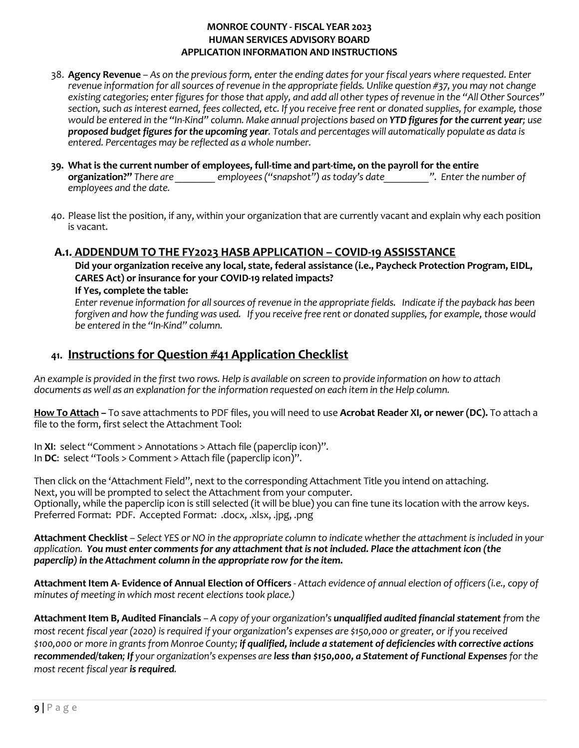- 38. **Agency Revenue**  *As on the previous form, enter the ending dates for your fiscal years where requested. Enter revenue information for all sources of revenue in the appropriate fields. Unlike question #37, you may not change existing categories; enter figures for those that apply, and add all other types of revenue in the "All Other Sources" section, such as interest earned, fees collected, etc. If you receive free rent or donated supplies, for example, those would be entered in the "In-Kind" column. Make annual projections based on YTD figures for the current year; use proposed budget figures for the upcoming year. Totals and percentages will automatically populate as data is entered. Percentages may be reflected as a whole number.*
- **39. What is the current number of employees, full-time and part-time, on the payroll for the entire organization?"** *There are are <i>employees ("snapshot") as today's date net are ... P. Enter the number of employees and the date.*
- 40. Please list the position, if any, within your organization that are currently vacant and explain why each position is vacant.

# **A.1. ADDENDUM TO THE FY2023 HASB APPLICATION – COVID-19 ASSISSTANCE**

**Did your organization receive any local, state, federal assistance (i.e., Paycheck Protection Program, EIDL, CARES Act) or insurance for your COVID-19 related impacts?** 

**If Yes, complete the table:**

*Enter revenue information for all sources of revenue in the appropriate fields. Indicate if the payback has been forgiven and how the funding was used. If you receive free rent or donated supplies, for example, those would be entered in the "In-Kind" column.*

# **41. Instructions for Question #41 Application Checklist**

*An example is provided in the first two rows. Help is available on screen to provide information on how to attach documents as well as an explanation for the information requested on each item in the Help column.*

**How To Attach –** To save attachments to PDF files, you will need to use **Acrobat Reader XI, or newer (DC).** To attach a file to the form, first select the Attachment Tool:

In **XI**: select "Comment > Annotations > Attach file (paperclip icon)". In **DC**: select "Tools > Comment > Attach file (paperclip icon)".

Then click on the 'Attachment Field", next to the corresponding Attachment Title you intend on attaching. Next, you will be prompted to select the Attachment from your computer. Optionally, while the paperclip icon is still selected (it will be blue) you can fine tune its location with the arrow keys. Preferred Format: PDF. Accepted Format: .docx, .xlsx, .jpg, .png

**Attachment Checklist** – *Select YES or NO in the appropriate column to indicate whether the attachment is included in your application. You must enter comments for any attachment that is not included. Place the attachment icon (the paperclip) in the Attachment column in the appropriate row for the item.*

**Attachment Item A- Evidence of Annual Election of Officers** *- Attach evidence of annual election of officers (i.e., copy of minutes of meeting in which most recent elections took place.)* 

**Attachment Item B, Audited Financials** *– A copy of your organization's unqualified audited financial statement from the most recent fiscal year (2020) is required if your organization's expenses are \$150,000 or greater, or if you received \$100,000 or more in grants from Monroe County; if qualified, include a statement of deficiencies with corrective actions recommended/taken; If your organization's expenses are less than \$150,000, a Statement of Functional Expensesfor the most recent fiscal year is required.*